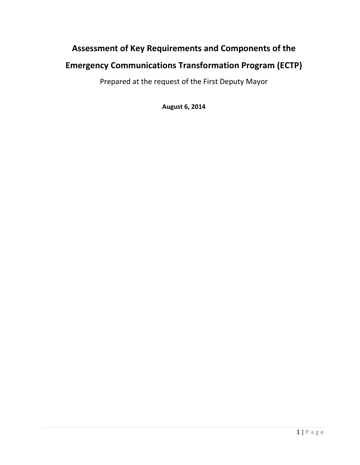# **Assessment of Key Requirements and Components of the**

## **Emergency Communications Transformation Program (ECTP)**

Prepared at the request of the First Deputy Mayor

**August 6, 2014**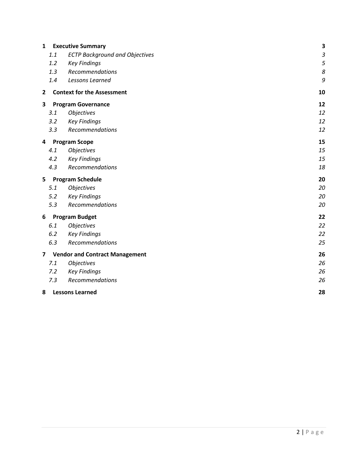| $\mathbf{1}$            | <b>Executive Summary</b>              |                                       |    |
|-------------------------|---------------------------------------|---------------------------------------|----|
|                         | 1.1                                   | <b>ECTP Background and Objectives</b> | 3  |
|                         | 1.2                                   | <b>Key Findings</b>                   | 5  |
|                         | 1.3                                   | Recommendations                       | 8  |
|                         | 1.4                                   | Lessons Learned                       | 9  |
| $\overline{2}$          |                                       | <b>Context for the Assessment</b>     | 10 |
| 3                       | <b>Program Governance</b>             |                                       | 12 |
|                         | 3.1                                   | <b>Objectives</b>                     | 12 |
|                         | 3.2                                   | <b>Key Findings</b>                   | 12 |
|                         | 3.3                                   | Recommendations                       | 12 |
| 4                       | <b>Program Scope</b>                  |                                       | 15 |
|                         | 4.1                                   | <b>Objectives</b>                     | 15 |
|                         | 4.2                                   | <b>Key Findings</b>                   | 15 |
|                         | 4.3                                   | Recommendations                       | 18 |
| 5                       | <b>Program Schedule</b>               |                                       | 20 |
|                         | 5.1                                   | <b>Objectives</b>                     | 20 |
|                         | 5.2                                   | <b>Key Findings</b>                   | 20 |
|                         | 5.3                                   | Recommendations                       | 20 |
| 6                       | <b>Program Budget</b>                 | 22                                    |    |
|                         | 6.1                                   | <b>Objectives</b>                     | 22 |
|                         | 6.2                                   | <b>Key Findings</b>                   | 22 |
|                         | 6.3                                   | Recommendations                       | 25 |
| $\overline{\mathbf{z}}$ | <b>Vendor and Contract Management</b> |                                       | 26 |
|                         | 7.1                                   | <b>Objectives</b>                     | 26 |
|                         | 7.2                                   | <b>Key Findings</b>                   | 26 |
|                         | 7.3                                   | Recommendations                       | 26 |
| 8                       |                                       | <b>Lessons Learned</b>                | 28 |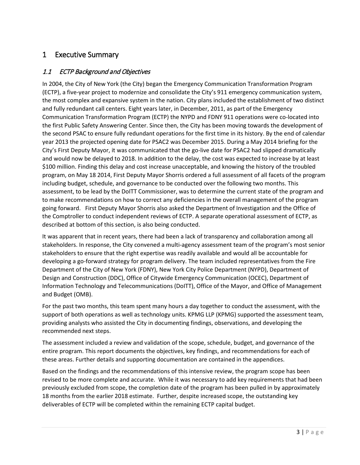## 1 Executive Summary

## 1.1 ECTP Background and Objectives

In 2004, the City of New York (the City) began the Emergency Communication Transformation Program (ECTP), a five-year project to modernize and consolidate the City's 911 emergency communication system, the most complex and expansive system in the nation. City plans included the establishment of two distinct and fully redundant call centers. Eight years later, in December, 2011, as part of the Emergency Communication Transformation Program (ECTP) the NYPD and FDNY 911 operations were co-located into the first Public Safety Answering Center. Since then, the City has been moving towards the development of the second PSAC to ensure fully redundant operations for the first time in its history. By the end of calendar year 2013 the projected opening date for PSAC2 was December 2015. During a May 2014 briefing for the City's First Deputy Mayor, it was communicated that the go-live date for PSAC2 had slipped dramatically and would now be delayed to 2018. In addition to the delay, the cost was expected to increase by at least \$100 million. Finding this delay and cost increase unacceptable, and knowing the history of the troubled program, on May 18 2014, First Deputy Mayor Shorris ordered a full assessment of all facets of the program including budget, schedule, and governance to be conducted over the following two months. This assessment, to be lead by the DoITT Commissioner, was to determine the current state of the program and to make recommendations on how to correct any deficiencies in the overall management of the program going forward. First Deputy Mayor Shorris also asked the Department of Investigation and the Office of the Comptroller to conduct independent reviews of ECTP. A separate operational assessment of ECTP, as described at bottom of this section, is also being conducted.

It was apparent that in recent years, there had been a lack of transparency and collaboration among all stakeholders. In response, the City convened a multi-agency assessment team of the program's most senior stakeholders to ensure that the right expertise was readily available and would all be accountable for developing a go-forward strategy for program delivery. The team included representatives from the Fire Department of the City of New York (FDNY), New York City Police Department (NYPD), Department of Design and Construction (DDC), Office of Citywide Emergency Communication (OCEC), Department of Information Technology and Telecommunications (DoITT), Office of the Mayor, and Office of Management and Budget (OMB).

For the past two months, this team spent many hours a day together to conduct the assessment, with the support of both operations as well as technology units. KPMG LLP (KPMG) supported the assessment team, providing analysts who assisted the City in documenting findings, observations, and developing the recommended next steps.

The assessment included a review and validation of the scope, schedule, budget, and governance of the entire program. This report documents the objectives, key findings, and recommendations for each of these areas. Further details and supporting documentation are contained in the appendices.

Based on the findings and the recommendations of this intensive review, the program scope has been revised to be more complete and accurate. While it was necessary to add key requirements that had been previously excluded from scope, the completion date of the program has been pulled in by approximately 18 months from the earlier 2018 estimate. Further, despite increased scope, the outstanding key deliverables of ECTP will be completed within the remaining ECTP capital budget.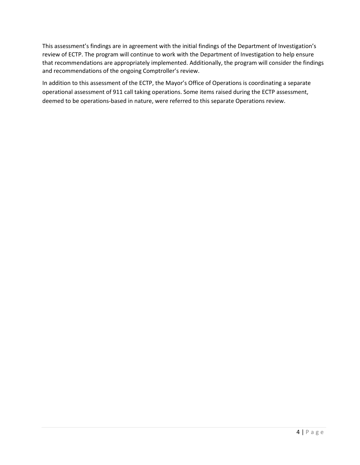This assessment's findings are in agreement with the initial findings of the Department of Investigation's review of ECTP. The program will continue to work with the Department of Investigation to help ensure that recommendations are appropriately implemented. Additionally, the program will consider the findings and recommendations of the ongoing Comptroller's review.

In addition to this assessment of the ECTP, the Mayor's Office of Operations is coordinating a separate operational assessment of 911 call taking operations. Some items raised during the ECTP assessment, deemed to be operations-based in nature, were referred to this separate Operations review.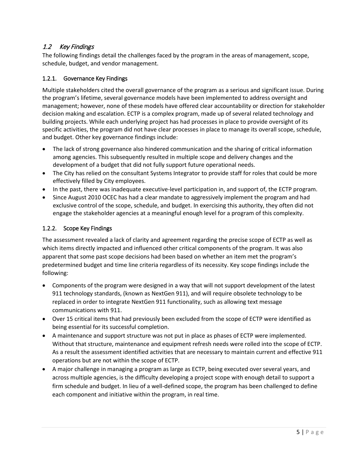## 1.2 Key Findings

The following findings detail the challenges faced by the program in the areas of management, scope, schedule, budget, and vendor management.

#### 1.2.1. Governance Key Findings

Multiple stakeholders cited the overall governance of the program as a serious and significant issue. During the program's lifetime, several governance models have been implemented to address oversight and management; however, none of these models have offered clear accountability or direction for stakeholder decision making and escalation. ECTP is a complex program, made up of several related technology and building projects. While each underlying project has had processes in place to provide oversight of its specific activities, the program did not have clear processes in place to manage its overall scope, schedule, and budget. Other key governance findings include:

- The lack of strong governance also hindered communication and the sharing of critical information among agencies. This subsequently resulted in multiple scope and delivery changes and the development of a budget that did not fully support future operational needs.
- The City has relied on the consultant Systems Integrator to provide staff for roles that could be more effectively filled by City employees.
- In the past, there was inadequate executive-level participation in, and support of, the ECTP program.
- Since August 2010 OCEC has had a clear mandate to aggressively implement the program and had exclusive control of the scope, schedule, and budget. In exercising this authority, they often did not engage the stakeholder agencies at a meaningful enough level for a program of this complexity.

### 1.2.2. Scope Key Findings

The assessment revealed a lack of clarity and agreement regarding the precise scope of ECTP as well as which items directly impacted and influenced other critical components of the program. It was also apparent that some past scope decisions had been based on whether an item met the program's predetermined budget and time line criteria regardless of its necessity. Key scope findings include the following:

- Components of the program were designed in a way that will not support development of the latest 911 technology standards, (known as NextGen 911), and will require obsolete technology to be replaced in order to integrate NextGen 911 functionality, such as allowing text message communications with 911.
- Over 15 critical items that had previously been excluded from the scope of ECTP were identified as being essential for its successful completion.
- A maintenance and support structure was not put in place as phases of ECTP were implemented. Without that structure, maintenance and equipment refresh needs were rolled into the scope of ECTP. As a result the assessment identified activities that are necessary to maintain current and effective 911 operations but are not within the scope of ECTP.
- A major challenge in managing a program as large as ECTP, being executed over several years, and across multiple agencies, is the difficulty developing a project scope with enough detail to support a firm schedule and budget. In lieu of a well-defined scope, the program has been challenged to define each component and initiative within the program, in real time.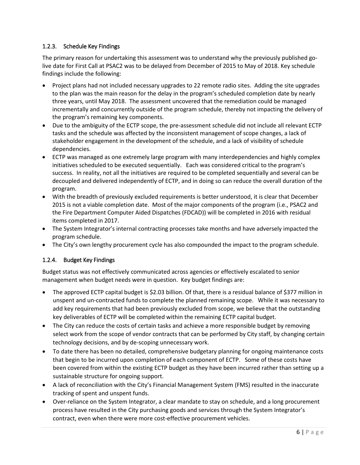### 1.2.3. Schedule Key Findings

The primary reason for undertaking this assessment was to understand why the previously published golive date for First Call at PSAC2 was to be delayed from December of 2015 to May of 2018. Key schedule findings include the following:

- Project plans had not included necessary upgrades to 22 remote radio sites. Adding the site upgrades to the plan was the main reason for the delay in the program's scheduled completion date by nearly three years, until May 2018. The assessment uncovered that the remediation could be managed incrementally and concurrently outside of the program schedule, thereby not impacting the delivery of the program's remaining key components.
- Due to the ambiguity of the ECTP scope, the pre-assessment schedule did not include all relevant ECTP tasks and the schedule was affected by the inconsistent management of scope changes, a lack of stakeholder engagement in the development of the schedule, and a lack of visibility of schedule dependencies.
- ECTP was managed as one extremely large program with many interdependencies and highly complex initiatives scheduled to be executed sequentially. Each was considered critical to the program's success. In reality, not all the initiatives are required to be completed sequentially and several can be decoupled and delivered independently of ECTP, and in doing so can reduce the overall duration of the program.
- With the breadth of previously excluded requirements is better understood, it is clear that December 2015 is not a viable completion date. Most of the major components of the program (i.e., PSAC2 and the Fire Department Computer Aided Dispatches (FDCAD)) will be completed in 2016 with residual items completed in 2017.
- The System Integrator's internal contracting processes take months and have adversely impacted the program schedule.
- The City's own lengthy procurement cycle has also compounded the impact to the program schedule.

## 1.2.4. Budget Key Findings

Budget status was not effectively communicated across agencies or effectively escalated to senior management when budget needs were in question. Key budget findings are:

- The approved ECTP capital budget is \$2.03 billion. Of that, there is a residual balance of \$377 million in unspent and un-contracted funds to complete the planned remaining scope. While it was necessary to add key requirements that had been previously excluded from scope, we believe that the outstanding key deliverables of ECTP will be completed within the remaining ECTP capital budget.
- The City can reduce the costs of certain tasks and achieve a more responsible budget by removing select work from the scope of vendor contracts that can be performed by City staff, by changing certain technology decisions, and by de-scoping unnecessary work.
- To date there has been no detailed, comprehensive budgetary planning for ongoing maintenance costs that begin to be incurred upon completion of each component of ECTP. Some of these costs have been covered from within the existing ECTP budget as they have been incurred rather than setting up a sustainable structure for ongoing support.
- A lack of reconciliation with the City's Financial Management System (FMS) resulted in the inaccurate tracking of spent and unspent funds.
- Over-reliance on the System Integrator, a clear mandate to stay on schedule, and a long procurement process have resulted in the City purchasing goods and services through the System Integrator's contract, even when there were more cost-effective procurement vehicles.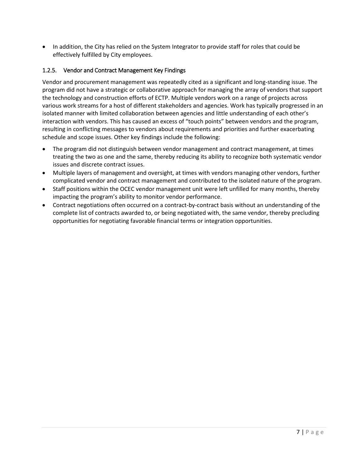• In addition, the City has relied on the System Integrator to provide staff for roles that could be effectively fulfilled by City employees.

### 1.2.5. Vendor and Contract Management Key Findings

Vendor and procurement management was repeatedly cited as a significant and long-standing issue. The program did not have a strategic or collaborative approach for managing the array of vendors that support the technology and construction efforts of ECTP. Multiple vendors work on a range of projects across various work streams for a host of different stakeholders and agencies. Work has typically progressed in an isolated manner with limited collaboration between agencies and little understanding of each other's interaction with vendors. This has caused an excess of "touch points" between vendors and the program, resulting in conflicting messages to vendors about requirements and priorities and further exacerbating schedule and scope issues. Other key findings include the following:

- The program did not distinguish between vendor management and contract management, at times treating the two as one and the same, thereby reducing its ability to recognize both systematic vendor issues and discrete contract issues.
- Multiple layers of management and oversight, at times with vendors managing other vendors, further complicated vendor and contract management and contributed to the isolated nature of the program.
- Staff positions within the OCEC vendor management unit were left unfilled for many months, thereby impacting the program's ability to monitor vendor performance.
- Contract negotiations often occurred on a contract-by-contract basis without an understanding of the complete list of contracts awarded to, or being negotiated with, the same vendor, thereby precluding opportunities for negotiating favorable financial terms or integration opportunities.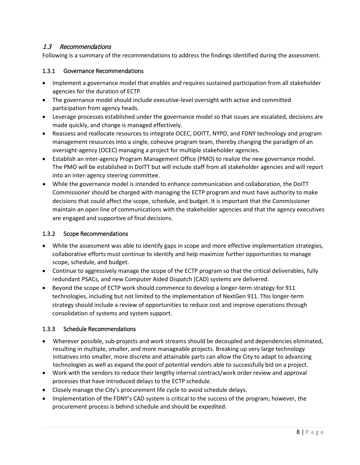## 1.3 Recommendations

Following is a summary of the recommendations to address the findings identified during the assessment.

#### 1.3.1 Governance Recommendations

- Implement a governance model that enables and requires sustained participation from all stakeholder agencies for the duration of ECTP.
- The governance model should include executive-level oversight with active and committed participation from agency heads.
- Leverage processes established under the governance model so that issues are escalated, decisions are made quickly, and change is managed effectively.
- Reassess and reallocate resources to integrate OCEC, DOITT, NYPD, and FDNY technology and program management resources into a single, cohesive program team, thereby changing the paradigm of an oversight-agency (OCEC) managing a project for multiple stakeholder agencies.
- Establish an inter-agency Program Management Office (PMO) to realize the new governance model. The PMO will be established in DoITT but will include staff from all stakeholder agencies and will report into an inter-agency steering committee.
- While the governance model is intended to enhance communication and collaboration, the DoITT Commissioner should be charged with managing the ECTP program and must have authority to make decisions that could affect the scope, schedule, and budget. It is important that the Commissioner maintain an open line of communications with the stakeholder agencies and that the agency executives are engaged and supportive of final decisions.

#### 1.3.2 Scope Recommendations

- While the assessment was able to identify gaps in scope and more effective implementation strategies, collaborative efforts must continue to identify and help maximize further opportunities to manage scope, schedule, and budget.
- Continue to aggressively manage the scope of the ECTP program so that the critical deliverables, fully redundant PSACs, and new Computer Aided Dispatch (CAD) systems are delivered.
- Beyond the scope of ECTP work should commence to develop a longer-term strategy for 911 technologies, including but not limited to the implementation of NextGen 911. This longer-term strategy should include a review of opportunities to reduce cost and improve operations through consolidation of systems and system support.

#### 1.3.3 Schedule Recommendations

- Wherever possible, sub-projects and work streams should be decoupled and dependencies eliminated, resulting in multiple, smaller, and more manageable projects. Breaking up very large technology initiatives into smaller, more discrete and attainable parts can allow the City to adapt to advancing technologies as well as expand the pool of potential vendors able to successfully bid on a project.
- Work with the vendors to reduce their lengthy internal contract/work order review and approval processes that have introduced delays to the ECTP schedule.
- Closely manage the City's procurement life cycle to avoid schedule delays.
- Implementation of the FDNY's CAD system is critical to the success of the program; however, the procurement process is behind schedule and should be expedited.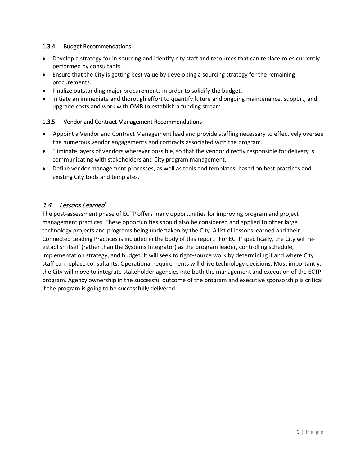#### 1.3.4 Budget Recommendations

- Develop a strategy for in-sourcing and identify city staff and resources that can replace roles currently performed by consultants.
- Ensure that the City is getting best value by developing a sourcing strategy for the remaining procurements.
- Finalize outstanding major procurements in order to solidify the budget.
- Initiate an immediate and thorough effort to quantify future and ongoing maintenance, support, and upgrade costs and work with OMB to establish a funding stream.

### 1.3.5 Vendor and Contract Management Recommendations

- Appoint a Vendor and Contract Management lead and provide staffing necessary to effectively oversee the numerous vendor engagements and contracts associated with the program.
- Eliminate layers of vendors wherever possible, so that the vendor directly responsible for delivery is communicating with stakeholders and City program management.
- Define vendor management processes, as well as tools and templates, based on best practices and existing City tools and templates.

### 1.4 Lessons Learned

The post-assessment phase of ECTP offers many opportunities for improving program and project management practices. These opportunities should also be considered and applied to other large technology projects and programs being undertaken by the City. A list of lessons learned and their Connected Leading Practices is included in the body of this report. For ECTP specifically, the City will reestablish itself (rather than the Systems Integrator) as the program leader, controlling schedule, implementation strategy, and budget. It will seek to right-source work by determining if and where City staff can replace consultants. Operational requirements will drive technology decisions. Most importantly, the City will move to integrate stakeholder agencies into both the management and execution of the ECTP program. Agency ownership in the successful outcome of the program and executive sponsorship is critical if the program is going to be successfully delivered.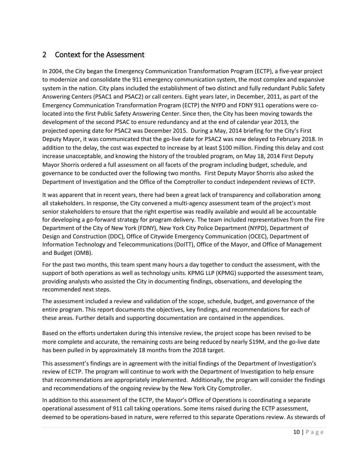## 2 Context for the Assessment

In 2004, the City began the Emergency Communication Transformation Program (ECTP), a five-year project to modernize and consolidate the 911 emergency communication system, the most complex and expansive system in the nation. City plans included the establishment of two distinct and fully redundant Public Safety Answering Centers (PSAC1 and PSAC2) or call centers. Eight years later, in December, 2011, as part of the Emergency Communication Transformation Program (ECTP) the NYPD and FDNY 911 operations were colocated into the first Public Safety Answering Center. Since then, the City has been moving towards the development of the second PSAC to ensure redundancy and at the end of calendar year 2013, the projected opening date for PSAC2 was December 2015. During a May, 2014 briefing for the City's First Deputy Mayor, it was communicated that the go-live date for PSAC2 was now delayed to February 2018. In addition to the delay, the cost was expected to increase by at least \$100 million. Finding this delay and cost increase unacceptable, and knowing the history of the troubled program, on May 18, 2014 First Deputy Mayor Shorris ordered a full assessment on all facets of the program including budget, schedule, and governance to be conducted over the following two months. First Deputy Mayor Shorris also asked the Department of Investigation and the Office of the Comptroller to conduct independent reviews of ECTP.

It was apparent that in recent years, there had been a great lack of transparency and collaboration among all stakeholders. In response, the City convened a multi-agency assessment team of the project's most senior stakeholders to ensure that the right expertise was readily available and would all be accountable for developing a go-forward strategy for program delivery. The team included representatives from the Fire Department of the City of New York (FDNY), New York City Police Department (NYPD), Department of Design and Construction (DDC), Office of Citywide Emergency Communication (OCEC), Department of Information Technology and Telecommunications (DoITT), Office of the Mayor, and Office of Management and Budget (OMB).

For the past two months, this team spent many hours a day together to conduct the assessment, with the support of both operations as well as technology units. KPMG LLP (KPMG) supported the assessment team, providing analysts who assisted the City in documenting findings, observations, and developing the recommended next steps.

The assessment included a review and validation of the scope, schedule, budget, and governance of the entire program. This report documents the objectives, key findings, and recommendations for each of these areas. Further details and supporting documentation are contained in the appendices.

Based on the efforts undertaken during this intensive review, the project scope has been revised to be more complete and accurate, the remaining costs are being reduced by nearly \$19M, and the go-live date has been pulled in by approximately 18 months from the 2018 target.

This assessment's findings are in agreement with the initial findings of the Department of Investigation's review of ECTP. The program will continue to work with the Department of Investigation to help ensure that recommendations are appropriately implemented. Additionally, the program will consider the findings and recommendations of the ongoing review by the New York City Comptroller.

In addition to this assessment of the ECTP, the Mayor's Office of Operations is coordinating a separate operational assessment of 911 call taking operations. Some items raised during the ECTP assessment, deemed to be operations-based in nature, were referred to this separate Operations review. As stewards of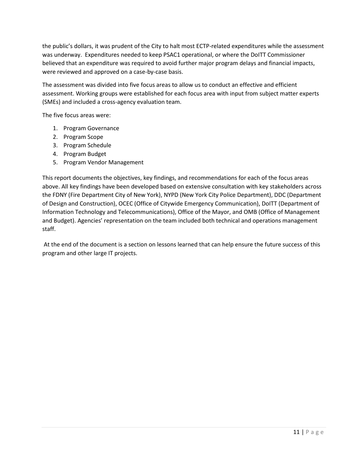the public's dollars, it was prudent of the City to halt most ECTP-related expenditures while the assessment was underway. Expenditures needed to keep PSAC1 operational, or where the DoITT Commissioner believed that an expenditure was required to avoid further major program delays and financial impacts, were reviewed and approved on a case-by-case basis.

The assessment was divided into five focus areas to allow us to conduct an effective and efficient assessment. Working groups were established for each focus area with input from subject matter experts (SMEs) and included a cross-agency evaluation team.

The five focus areas were:

- 1. Program Governance
- 2. Program Scope
- 3. Program Schedule
- 4. Program Budget
- 5. Program Vendor Management

This report documents the objectives, key findings, and recommendations for each of the focus areas above. All key findings have been developed based on extensive consultation with key stakeholders across the FDNY (Fire Department City of New York), NYPD (New York City Police Department), DDC (Department of Design and Construction), OCEC (Office of Citywide Emergency Communication), DoITT (Department of Information Technology and Telecommunications), Office of the Mayor, and OMB (Office of Management and Budget). Agencies' representation on the team included both technical and operations management staff.

At the end of the document is a section on lessons learned that can help ensure the future success of this program and other large IT projects.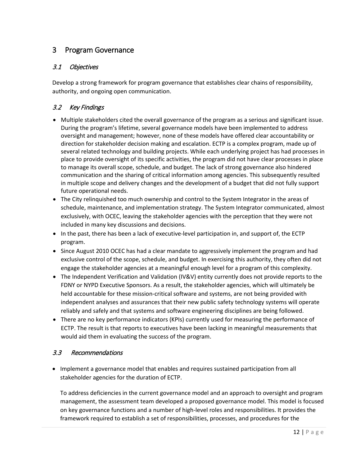## 3 Program Governance

## 3.1 Objectives

Develop a strong framework for program governance that establishes clear chains of responsibility, authority, and ongoing open communication.

## 3.2 Key Findings

- Multiple stakeholders cited the overall governance of the program as a serious and significant issue. During the program's lifetime, several governance models have been implemented to address oversight and management; however, none of these models have offered clear accountability or direction for stakeholder decision making and escalation. ECTP is a complex program, made up of several related technology and building projects. While each underlying project has had processes in place to provide oversight of its specific activities, the program did not have clear processes in place to manage its overall scope, schedule, and budget. The lack of strong governance also hindered communication and the sharing of critical information among agencies. This subsequently resulted in multiple scope and delivery changes and the development of a budget that did not fully support future operational needs.
- The City relinquished too much ownership and control to the System Integrator in the areas of schedule, maintenance, and implementation strategy. The System Integrator communicated, almost exclusively, with OCEC, leaving the stakeholder agencies with the perception that they were not included in many key discussions and decisions.
- In the past, there has been a lack of executive-level participation in, and support of, the ECTP program.
- Since August 2010 OCEC has had a clear mandate to aggressively implement the program and had exclusive control of the scope, schedule, and budget. In exercising this authority, they often did not engage the stakeholder agencies at a meaningful enough level for a program of this complexity.
- The Independent Verification and Validation (IV&V) entity currently does not provide reports to the FDNY or NYPD Executive Sponsors. As a result, the stakeholder agencies, which will ultimately be held accountable for these mission-critical software and systems, are not being provided with independent analyses and assurances that their new public safety technology systems will operate reliably and safely and that systems and software engineering disciplines are being followed.
- There are no key performance indicators (KPIs) currently used for measuring the performance of ECTP. The result is that reports to executives have been lacking in meaningful measurements that would aid them in evaluating the success of the program.

## 3.3 Recommendations

• Implement a governance model that enables and requires sustained participation from all stakeholder agencies for the duration of ECTP.

To address deficiencies in the current governance model and an approach to oversight and program management, the assessment team developed a proposed governance model. This model is focused on key governance functions and a number of high-level roles and responsibilities. It provides the framework required to establish a set of responsibilities, processes, and procedures for the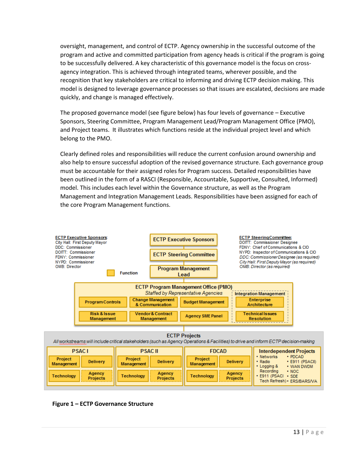oversight, management, and control of ECTP. Agency ownership in the successful outcome of the program and active and committed participation from agency heads is critical if the program is going to be successfully delivered. A key characteristic of this governance model is the focus on crossagency integration. This is achieved through integrated teams, wherever possible, and the recognition that key stakeholders are critical to informing and driving ECTP decision making. This model is designed to leverage governance processes so that issues are escalated, decisions are made quickly, and change is managed effectively.

The proposed governance model (see figure below) has four levels of governance – Executive Sponsors, Steering Committee, Program Management Lead/Program Management Office (PMO), and Project teams. It illustrates which functions reside at the individual project level and which belong to the PMO.

Clearly defined roles and responsibilities will reduce the current confusion around ownership and also help to ensure successful adoption of the revised governance structure. Each governance group must be accountable for their assigned roles for Program success. Detailed responsibilities have been outlined in the form of a RASCI (Responsible, Accountable, Supportive, Consulted, Informed) model. This includes each level within the Governance structure, as well as the Program Management and Integration Management Leads. Responsibilities have been assigned for each of the core Program Management functions.



**Figure 1 – ECTP Governance Structure**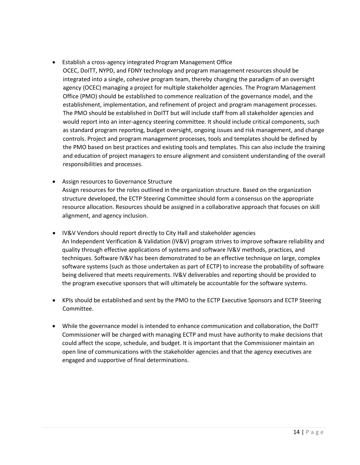#### • Establish a cross-agency integrated Program Management Office

- OCEC, DoITT, NYPD, and FDNY technology and program management resources should be integrated into a single, cohesive program team, thereby changing the paradigm of an oversight agency (OCEC) managing a project for multiple stakeholder agencies. The Program Management Office (PMO) should be established to commence realization of the governance model, and the establishment, implementation, and refinement of project and program management processes. The PMO should be established in DoITT but will include staff from all stakeholder agencies and would report into an inter-agency steering committee. It should include critical components, such as standard program reporting, budget oversight, ongoing issues and risk management, and change controls. Project and program management processes, tools and templates should be defined by the PMO based on best practices and existing tools and templates. This can also include the training and education of project managers to ensure alignment and consistent understanding of the overall responsibilities and processes.
- Assign resources to Governance Structure Assign resources for the roles outlined in the organization structure. Based on the organization structure developed, the ECTP Steering Committee should form a consensus on the appropriate resource allocation. Resources should be assigned in a collaborative approach that focuses on skill alignment, and agency inclusion.
- IV&V Vendors should report directly to City Hall and stakeholder agencies An Independent Verification & Validation (IV&V) program strives to improve software reliability and quality through effective applications of systems and software IV&V methods, practices, and techniques. Software IV&V has been demonstrated to be an effective technique on large, complex software systems (such as those undertaken as part of ECTP) to increase the probability of software being delivered that meets requirements. IV&V deliverables and reporting should be provided to the program executive sponsors that will ultimately be accountable for the software systems.
- KPIs should be established and sent by the PMO to the ECTP Executive Sponsors and ECTP Steering Committee.
- While the governance model is intended to enhance communication and collaboration, the DoITT Commissioner will be charged with managing ECTP and must have authority to make decisions that could affect the scope, schedule, and budget. It is important that the Commissioner maintain an open line of communications with the stakeholder agencies and that the agency executives are engaged and supportive of final determinations.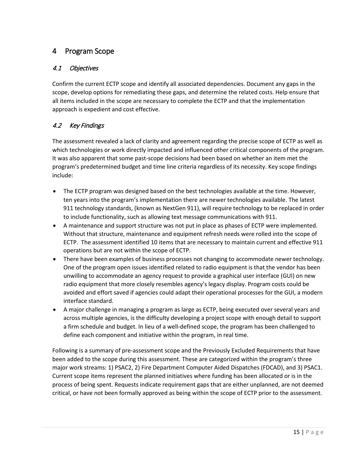## 4 Program Scope

## 4.1 Objectives

Confirm the current ECTP scope and identify all associated dependencies. Document any gaps in the scope, develop options for remediating these gaps, and determine the related costs. Help ensure that all items included in the scope are necessary to complete the ECTP and that the implementation approach is expedient and cost effective.

## 4.2 Key Findings

The assessment revealed a lack of clarity and agreement regarding the precise scope of ECTP as well as which technologies or work directly impacted and influenced other critical components of the program. It was also apparent that some past-scope decisions had been based on whether an item met the program's predetermined budget and time line criteria regardless of its necessity. Key scope findings include:

- The ECTP program was designed based on the best technologies available at the time. However, ten years into the program's implementation there are newer technologies available. The latest 911 technology standards, (known as NextGen 911), will require technology to be replaced in order to include functionality, such as allowing text message communications with 911.
- A maintenance and support structure was not put in place as phases of ECTP were implemented. Without that structure, maintenance and equipment refresh needs were rolled into the scope of ECTP. The assessment identified 10 items that are necessary to maintain current and effective 911 operations but are not within the scope of ECTP.
- There have been examples of business processes not changing to accommodate newer technology. One of the program open issues identified related to radio equipment is that the vendor has been unwilling to accommodate an agency request to provide a graphical user interface (GUI) on new radio equipment that more closely resembles agency's legacy display. Program costs could be avoided and effort saved if agencies could adapt their operational processes for the GUI, a modern interface standard.
- A major challenge in managing a program as large as ECTP, being executed over several years and across multiple agencies, is the difficulty developing a project scope with enough detail to support a firm schedule and budget. In lieu of a well-defined scope, the program has been challenged to define each component and initiative within the program, in real time.

Following is a summary of pre-assessment scope and the Previously Excluded Requirements that have been added to the scope during this assessment. These are categorized within the program's three major work streams: 1) PSAC2, 2) Fire Department Computer Aided Dispatches (FDCAD), and 3) PSAC1. Current scope items represent the planned initiatives where funding has been allocated or is in the process of being spent. Requests indicate requirement gaps that are either unplanned, are not deemed critical, or have not been formally approved as being within the scope of ECTP prior to the assessment.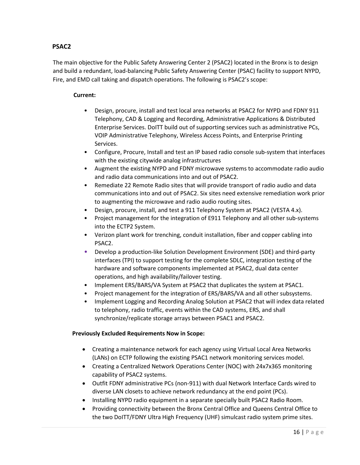### **PSAC2**

The main objective for the Public Safety Answering Center 2 (PSAC2) located in the Bronx is to design and build a redundant, load-balancing Public Safety Answering Center (PSAC) facility to support NYPD, Fire, and EMD call taking and dispatch operations. The following is PSAC2's scope:

#### **Current:**

- Design, procure, install and test local area networks at PSAC2 for NYPD and FDNY 911 Telephony, CAD & Logging and Recording, Administrative Applications & Distributed Enterprise Services. DoITT build out of supporting services such as administrative PCs, VOIP Administrative Telephony, Wireless Access Points, and Enterprise Printing Services.
- Configure, Procure, Install and test an IP based radio console sub-system that interfaces with the existing citywide analog infrastructures
- Augment the existing NYPD and FDNY microwave systems to accommodate radio audio and radio data communications into and out of PSAC2.
- Remediate 22 Remote Radio sites that will provide transport of radio audio and data communications into and out of PSAC2. Six sites need extensive remediation work prior to augmenting the microwave and radio audio routing sites.
- Design, procure, install, and test a 911 Telephony System at PSAC2 (VESTA 4.x).
- Project management for the integration of E911 Telephony and all other sub-systems into the ECTP2 System.
- Verizon plant work for trenching, conduit installation, fiber and copper cabling into PSAC2.
- Develop a production-like Solution Development Environment (SDE) and third-party interfaces (TPI) to support testing for the complete SDLC, integration testing of the hardware and software components implemented at PSAC2, dual data center operations, and high availability/failover testing.
- Implement ERS/BARS/VA System at PSAC2 that duplicates the system at PSAC1.
- Project management for the integration of ERS/BARS/VA and all other subsystems.
- Implement Logging and Recording Analog Solution at PSAC2 that will index data related to telephony, radio traffic, events within the CAD systems, ERS, and shall synchronize/replicate storage arrays between PSAC1 and PSAC2.

#### **Previously Excluded Requirements Now in Scope:**

- Creating a maintenance network for each agency using Virtual Local Area Networks (LANs) on ECTP following the existing PSAC1 network monitoring services model.
- Creating a Centralized Network Operations Center (NOC) with 24x7x365 monitoring capability of PSAC2 systems.
- Outfit FDNY administrative PCs (non-911) with dual Network Interface Cards wired to diverse LAN closets to achieve network redundancy at the end point (PCs).
- Installing NYPD radio equipment in a separate specially built PSAC2 Radio Room.
- Providing connectivity between the Bronx Central Office and Queens Central Office to the two DoITT/FDNY Ultra High Frequency (UHF) simulcast radio system prime sites.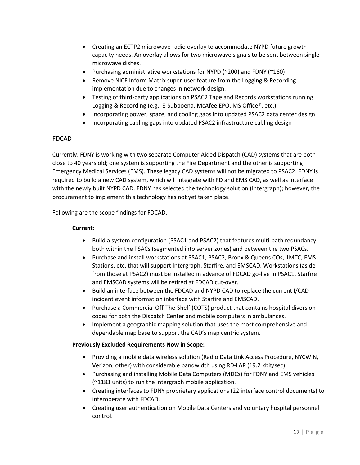- Creating an ECTP2 microwave radio overlay to accommodate NYPD future growth capacity needs. An overlay allows for two microwave signals to be sent between single microwave dishes.
- Purchasing administrative workstations for NYPD (~200) and FDNY (~160)
- Remove NICE Inform Matrix super-user feature from the Logging & Recording implementation due to changes in network design.
- Testing of third-party applications on PSAC2 Tape and Records workstations running Logging & Recording (e.g., E-Subpoena, McAfee EPO, MS Office®, etc.).
- Incorporating power, space, and cooling gaps into updated PSAC2 data center design
- Incorporating cabling gaps into updated PSAC2 infrastructure cabling design

### FDCAD

Currently, FDNY is working with two separate Computer Aided Dispatch (CAD) systems that are both close to 40 years old; one system is supporting the Fire Department and the other is supporting Emergency Medical Services (EMS). These legacy CAD systems will not be migrated to PSAC2. FDNY is required to build a new CAD system, which will integrate with FD and EMS CAD, as well as interface with the newly built NYPD CAD. FDNY has selected the technology solution (Intergraph); however, the procurement to implement this technology has not yet taken place.

Following are the scope findings for FDCAD.

#### **Current:**

- Build a system configuration (PSAC1 and PSAC2) that features multi-path redundancy both within the PSACs (segmented into server zones) and between the two PSACs.
- Purchase and install workstations at PSAC1, PSAC2, Bronx & Queens COs, 1MTC, EMS Stations, etc. that will support Intergraph, Starfire, and EMSCAD. Workstations (aside from those at PSAC2) must be installed in advance of FDCAD go-live in PSAC1. Starfire and EMSCAD systems will be retired at FDCAD cut-over.
- Build an interface between the FDCAD and NYPD CAD to replace the current I/CAD incident event information interface with Starfire and EMSCAD.
- Purchase a Commercial Off-The-Shelf (COTS) product that contains hospital diversion codes for both the Dispatch Center and mobile computers in ambulances.
- Implement a geographic mapping solution that uses the most comprehensive and dependable map base to support the CAD's map centric system.

#### **Previously Excluded Requirements Now in Scope:**

- Providing a mobile data wireless solution (Radio Data Link Access Procedure, NYCWiN, Verizon, other) with considerable bandwidth using RD-LAP (19.2 kbit/sec).
- Purchasing and installing Mobile Data Computers (MDCs) for FDNY and EMS vehicles (~1183 units) to run the Intergraph mobile application.
- Creating interfaces to FDNY proprietary applications (22 interface control documents) to interoperate with FDCAD.
- Creating user authentication on Mobile Data Centers and voluntary hospital personnel control.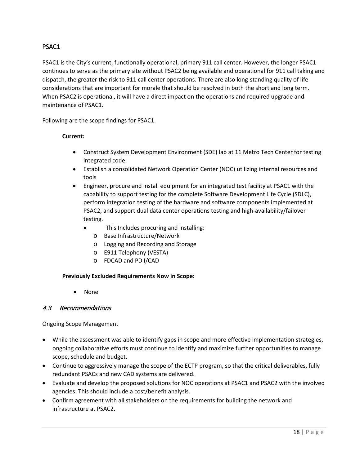## PSAC1

PSAC1 is the City's current, functionally operational, primary 911 call center. However, the longer PSAC1 continues to serve as the primary site without PSAC2 being available and operational for 911 call taking and dispatch, the greater the risk to 911 call center operations. There are also long-standing quality of life considerations that are important for morale that should be resolved in both the short and long term. When PSAC2 is operational, it will have a direct impact on the operations and required upgrade and maintenance of PSAC1.

Following are the scope findings for PSAC1.

#### **Current:**

- Construct System Development Environment (SDE) lab at 11 Metro Tech Center for testing integrated code.
- Establish a consolidated Network Operation Center (NOC) utilizing internal resources and tools
- Engineer, procure and install equipment for an integrated test facility at PSAC1 with the capability to support testing for the complete Software Development Life Cycle (SDLC), perform integration testing of the hardware and software components implemented at PSAC2, and support dual data center operations testing and high-availability/failover testing.
	- This Includes procuring and installing:
		- o Base Infrastructure/Network
		- o Logging and Recording and Storage
		- o E911 Telephony (VESTA)
		- o FDCAD and PD I/CAD

#### **Previously Excluded Requirements Now in Scope:**

• None

#### 4.3 Recommendations

Ongoing Scope Management

- While the assessment was able to identify gaps in scope and more effective implementation strategies, ongoing collaborative efforts must continue to identify and maximize further opportunities to manage scope, schedule and budget.
- Continue to aggressively manage the scope of the ECTP program, so that the critical deliverables, fully redundant PSACs and new CAD systems are delivered.
- Evaluate and develop the proposed solutions for NOC operations at PSAC1 and PSAC2 with the involved agencies. This should include a cost/benefit analysis.
- Confirm agreement with all stakeholders on the requirements for building the network and infrastructure at PSAC2.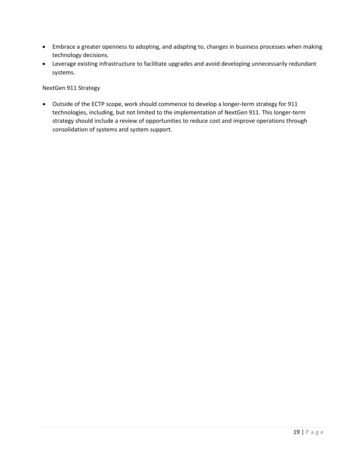- Embrace a greater openness to adopting, and adapting to, changes in business processes when making technology decisions.
- Leverage existing infrastructure to facilitate upgrades and avoid developing unnecessarily redundant systems.

#### NextGen 911 Strategy

• Outside of the ECTP scope, work should commence to develop a longer-term strategy for 911 technologies, including, but not limited to the implementation of NextGen 911. This longer-term strategy should include a review of opportunities to reduce cost and improve operations through consolidation of systems and system support.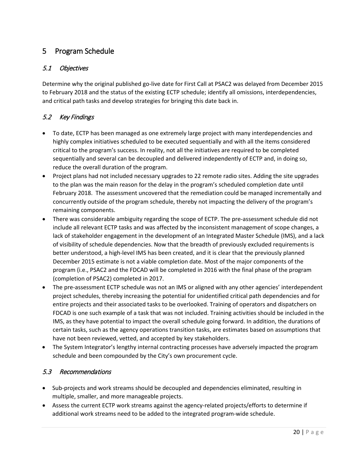## 5 Program Schedule

## 5.1 Objectives

Determine why the original published go-live date for First Call at PSAC2 was delayed from December 2015 to February 2018 and the status of the existing ECTP schedule; identify all omissions, interdependencies, and critical path tasks and develop strategies for bringing this date back in.

## 5.2 Key Findings

- To date, ECTP has been managed as one extremely large project with many interdependencies and highly complex initiatives scheduled to be executed sequentially and with all the items considered critical to the program's success. In reality, not all the initiatives are required to be completed sequentially and several can be decoupled and delivered independently of ECTP and, in doing so, reduce the overall duration of the program.
- Project plans had not included necessary upgrades to 22 remote radio sites. Adding the site upgrades to the plan was the main reason for the delay in the program's scheduled completion date until February 2018. The assessment uncovered that the remediation could be managed incrementally and concurrently outside of the program schedule, thereby not impacting the delivery of the program's remaining components.
- There was considerable ambiguity regarding the scope of ECTP. The pre-assessment schedule did not include all relevant ECTP tasks and was affected by the inconsistent management of scope changes, a lack of stakeholder engagement in the development of an Integrated Master Schedule (IMS), and a lack of visibility of schedule dependencies. Now that the breadth of previously excluded requirements is better understood, a high-level IMS has been created, and it is clear that the previously planned December 2015 estimate is not a viable completion date. Most of the major components of the program (i.e., PSAC2 and the FDCAD will be completed in 2016 with the final phase of the program (completion of PSAC2) completed in 2017.
- The pre-assessment ECTP schedule was not an IMS or aligned with any other agencies' interdependent project schedules, thereby increasing the potential for unidentified critical path dependencies and for entire projects and their associated tasks to be overlooked. Training of operators and dispatchers on FDCAD is one such example of a task that was not included. Training activities should be included in the IMS, as they have potential to impact the overall schedule going forward. In addition, the durations of certain tasks, such as the agency operations transition tasks, are estimates based on assumptions that have not been reviewed, vetted, and accepted by key stakeholders.
- The System Integrator's lengthy internal contracting processes have adversely impacted the program schedule and been compounded by the City's own procurement cycle.

## 5.3 Recommendations

- Sub-projects and work streams should be decoupled and dependencies eliminated, resulting in multiple, smaller, and more manageable projects.
- Assess the current ECTP work streams against the agency-related projects/efforts to determine if additional work streams need to be added to the integrated program-wide schedule.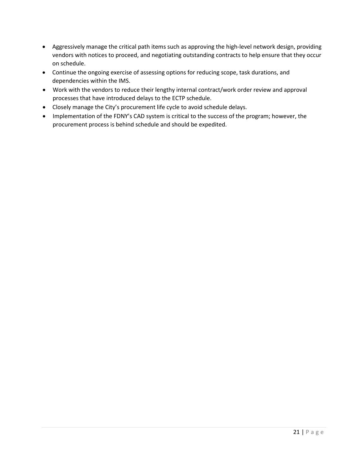- Aggressively manage the critical path items such as approving the high-level network design, providing vendors with notices to proceed, and negotiating outstanding contracts to help ensure that they occur on schedule.
- Continue the ongoing exercise of assessing options for reducing scope, task durations, and dependencies within the IMS.
- Work with the vendors to reduce their lengthy internal contract/work order review and approval processes that have introduced delays to the ECTP schedule.
- Closely manage the City's procurement life cycle to avoid schedule delays.
- Implementation of the FDNY's CAD system is critical to the success of the program; however, the procurement process is behind schedule and should be expedited.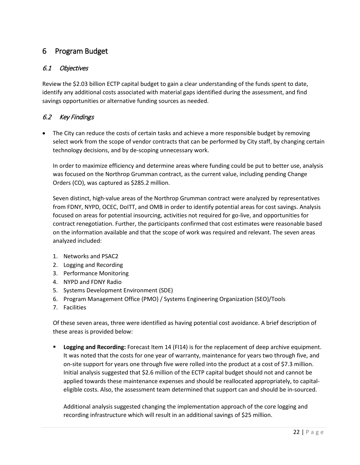## 6 Program Budget

## 6.1 Objectives

Review the \$2.03 billion ECTP capital budget to gain a clear understanding of the funds spent to date, identify any additional costs associated with material gaps identified during the assessment, and find savings opportunities or alternative funding sources as needed.

## 6.2 Key Findings

• The City can reduce the costs of certain tasks and achieve a more responsible budget by removing select work from the scope of vendor contracts that can be performed by City staff, by changing certain technology decisions, and by de-scoping unnecessary work.

In order to maximize efficiency and determine areas where funding could be put to better use, analysis was focused on the Northrop Grumman contract, as the current value, including pending Change Orders (CO), was captured as \$285.2 million.

Seven distinct, high-value areas of the Northrop Grumman contract were analyzed by representatives from FDNY, NYPD, OCEC, DoITT, and OMB in order to identify potential areas for cost savings. Analysis focused on areas for potential insourcing, activities not required for go-live, and opportunities for contract renegotiation. Further, the participants confirmed that cost estimates were reasonable based on the information available and that the scope of work was required and relevant. The seven areas analyzed included:

- 1. Networks and PSAC2
- 2. Logging and Recording
- 3. Performance Monitoring
- 4. NYPD and FDNY Radio
- 5. Systems Development Environment (SDE)
- 6. Program Management Office (PMO) / Systems Engineering Organization (SEO)/Tools
- 7. Facilities

Of these seven areas, three were identified as having potential cost avoidance. A brief description of these areas is provided below:

 **Logging and Recording:** Forecast Item 14 (FI14) is for the replacement of deep archive equipment. It was noted that the costs for one year of warranty, maintenance for years two through five, and on-site support for years one through five were rolled into the product at a cost of \$7.3 million. Initial analysis suggested that \$2.6 million of the ECTP capital budget should not and cannot be applied towards these maintenance expenses and should be reallocated appropriately, to capitaleligible costs. Also, the assessment team determined that support can and should be in-sourced.

Additional analysis suggested changing the implementation approach of the core logging and recording infrastructure which will result in an additional savings of \$25 million.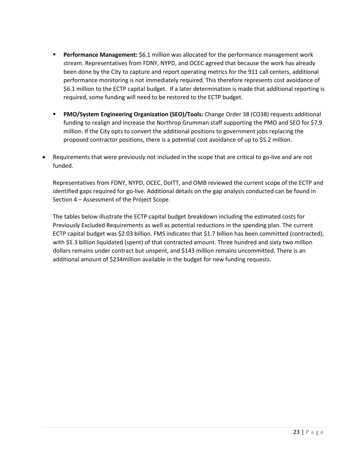- **Performance Management:** \$6.1 million was allocated for the performance management work stream. Representatives from FDNY, NYPD, and OCEC agreed that because the work has already been done by the City to capture and report operating metrics for the 911 call centers, additional performance monitoring is not immediately required. This therefore represents cost avoidance of \$6.1 million to the ECTP capital budget. If a later determination is made that additional reporting is required, some funding will need to be restored to the ECTP budget.
- **PMO/System Engineering Organization (SEO)/Tools:** Change Order 38 (CO38) requests additional funding to realign and increase the Northrop Grumman staff supporting the PMO and SEO for \$7.9 million. If the City opts to convert the additional positions to government jobs replacing the proposed contractor positions, there is a potential cost avoidance of up to \$5.2 million.
- Requirements that were previously not included in the scope that are critical to go-live and are not funded.

Representatives from FDNY, NYPD, OCEC, DoITT, and OMB reviewed the current scope of the ECTP and identified gaps required for go-live. Additional details on the gap analysis conducted can be found in Section 4 – Assessment of the Project Scope.

The tables below illustrate the ECTP capital budget breakdown including the estimated costs for Previously Excluded Requirements as well as potential reductions in the spending plan. The current ECTP capital budget was \$2.03 billion. FMS indicates that \$1.7 billion has been committed (contracted), with \$1.3 billion liquidated (spent) of that contracted amount. Three hundred and sixty two million dollars remains under contract but unspent, and \$143 million remains uncommitted. There is an additional amount of \$234million available in the budget for new funding requests.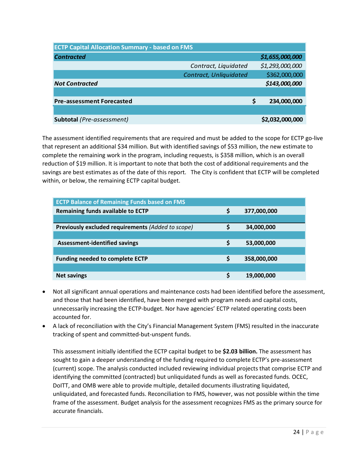| <b>ECTP Capital Allocation Summary - based on FMS</b> |                        |   |                 |  |  |  |  |
|-------------------------------------------------------|------------------------|---|-----------------|--|--|--|--|
| <b>Contracted</b>                                     |                        |   | \$1,655,000,000 |  |  |  |  |
|                                                       | Contract, Liquidated   |   | \$1,293,000,000 |  |  |  |  |
|                                                       | Contract, Unliquidated |   | \$362,000,000   |  |  |  |  |
| <b>Not Contracted</b>                                 |                        |   | \$143,000,000   |  |  |  |  |
|                                                       |                        |   |                 |  |  |  |  |
| <b>Pre-assessment Forecasted</b>                      |                        | S | 234,000,000     |  |  |  |  |
|                                                       |                        |   |                 |  |  |  |  |
| Subtotal (Pre-assessment)                             |                        |   | \$2,032,000,000 |  |  |  |  |

The assessment identified requirements that are required and must be added to the scope for ECTP go-live that represent an additional \$34 million. But with identified savings of \$53 million, the new estimate to complete the remaining work in the program, including requests, is \$358 million, which is an overall reduction of \$19 million. It is important to note that both the cost of additional requirements and the savings are best estimates as of the date of this report. The City is confident that ECTP will be completed within, or below, the remaining ECTP capital budget.

| <b>ECTP Balance of Remaining Funds based on FMS</b> |    |             |  |  |  |  |
|-----------------------------------------------------|----|-------------|--|--|--|--|
| <b>Remaining funds available to ECTP</b>            | Ş  | 377,000,000 |  |  |  |  |
|                                                     |    |             |  |  |  |  |
| Previously excluded requirements (Added to scope)   | S  | 34,000,000  |  |  |  |  |
|                                                     |    |             |  |  |  |  |
| <b>Assessment-identified savings</b>                | Ś  | 53,000,000  |  |  |  |  |
|                                                     |    |             |  |  |  |  |
| <b>Funding needed to complete ECTP</b>              | \$ | 358,000,000 |  |  |  |  |
|                                                     |    |             |  |  |  |  |
| <b>Net savings</b>                                  | Ś  | 19,000,000  |  |  |  |  |

- Not all significant annual operations and maintenance costs had been identified before the assessment, and those that had been identified, have been merged with program needs and capital costs, unnecessarily increasing the ECTP-budget. Nor have agencies' ECTP related operating costs been accounted for.
- A lack of reconciliation with the City's Financial Management System (FMS) resulted in the inaccurate tracking of spent and committed-but-unspent funds.

This assessment initially identified the ECTP capital budget to be **\$2.03 billion.** The assessment has sought to gain a deeper understanding of the funding required to complete ECTP's pre-assessment (current) scope. The analysis conducted included reviewing individual projects that comprise ECTP and identifying the committed (contracted) but unliquidated funds as well as forecasted funds. OCEC, DoITT, and OMB were able to provide multiple, detailed documents illustrating liquidated, unliquidated, and forecasted funds. Reconciliation to FMS, however, was not possible within the time frame of the assessment. Budget analysis for the assessment recognizes FMS as the primary source for accurate financials.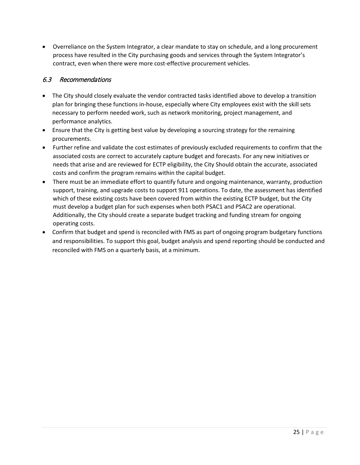• Overreliance on the System Integrator, a clear mandate to stay on schedule, and a long procurement process have resulted in the City purchasing goods and services through the System Integrator's contract, even when there were more cost-effective procurement vehicles.

## 6.3 Recommendations

- The City should closely evaluate the vendor contracted tasks identified above to develop a transition plan for bringing these functions in-house, especially where City employees exist with the skill sets necessary to perform needed work, such as network monitoring, project management, and performance analytics.
- Ensure that the City is getting best value by developing a sourcing strategy for the remaining procurements.
- Further refine and validate the cost estimates of previously excluded requirements to confirm that the associated costs are correct to accurately capture budget and forecasts. For any new initiatives or needs that arise and are reviewed for ECTP eligibility, the City Should obtain the accurate, associated costs and confirm the program remains within the capital budget.
- There must be an immediate effort to quantify future and ongoing maintenance, warranty, production support, training, and upgrade costs to support 911 operations. To date, the assessment has identified which of these existing costs have been covered from within the existing ECTP budget, but the City must develop a budget plan for such expenses when both PSAC1 and PSAC2 are operational. Additionally, the City should create a separate budget tracking and funding stream for ongoing operating costs.
- Confirm that budget and spend is reconciled with FMS as part of ongoing program budgetary functions and responsibilities. To support this goal, budget analysis and spend reporting should be conducted and reconciled with FMS on a quarterly basis, at a minimum.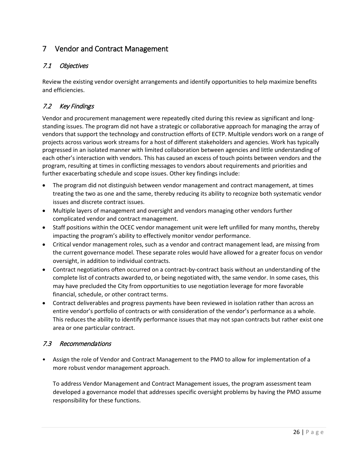## 7 Vendor and Contract Management

## 7.1 Objectives

Review the existing vendor oversight arrangements and identify opportunities to help maximize benefits and efficiencies.

## 7.2 Key Findings

Vendor and procurement management were repeatedly cited during this review as significant and longstanding issues. The program did not have a strategic or collaborative approach for managing the array of vendors that support the technology and construction efforts of ECTP. Multiple vendors work on a range of projects across various work streams for a host of different stakeholders and agencies. Work has typically progressed in an isolated manner with limited collaboration between agencies and little understanding of each other's interaction with vendors. This has caused an excess of touch points between vendors and the program, resulting at times in conflicting messages to vendors about requirements and priorities and further exacerbating schedule and scope issues. Other key findings include:

- The program did not distinguish between vendor management and contract management, at times treating the two as one and the same, thereby reducing its ability to recognize both systematic vendor issues and discrete contract issues.
- Multiple layers of management and oversight and vendors managing other vendors further complicated vendor and contract management.
- Staff positions within the OCEC vendor management unit were left unfilled for many months, thereby impacting the program's ability to effectively monitor vendor performance.
- Critical vendor management roles, such as a vendor and contract management lead, are missing from the current governance model. These separate roles would have allowed for a greater focus on vendor oversight, in addition to individual contracts.
- Contract negotiations often occurred on a contract-by-contract basis without an understanding of the complete list of contracts awarded to, or being negotiated with, the same vendor. In some cases, this may have precluded the City from opportunities to use negotiation leverage for more favorable financial, schedule, or other contract terms.
- Contract deliverables and progress payments have been reviewed in isolation rather than across an entire vendor's portfolio of contracts or with consideration of the vendor's performance as a whole. This reduces the ability to identify performance issues that may not span contracts but rather exist one area or one particular contract.

## 7.3 Recommendations

• Assign the role of Vendor and Contract Management to the PMO to allow for implementation of a more robust vendor management approach.

To address Vendor Management and Contract Management issues, the program assessment team developed a governance model that addresses specific oversight problems by having the PMO assume responsibility for these functions.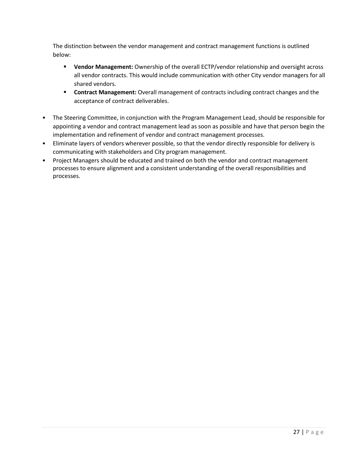The distinction between the vendor management and contract management functions is outlined below:

- **Vendor Management:** Ownership of the overall ECTP/vendor relationship and oversight across all vendor contracts. This would include communication with other City vendor managers for all shared vendors.
- **Contract Management:** Overall management of contracts including contract changes and the acceptance of contract deliverables.
- The Steering Committee, in conjunction with the Program Management Lead, should be responsible for appointing a vendor and contract management lead as soon as possible and have that person begin the implementation and refinement of vendor and contract management processes.
- Eliminate layers of vendors wherever possible, so that the vendor directly responsible for delivery is communicating with stakeholders and City program management.
- Project Managers should be educated and trained on both the vendor and contract management processes to ensure alignment and a consistent understanding of the overall responsibilities and processes.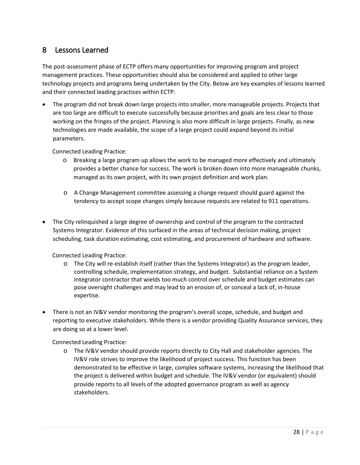## 8 Lessons Learned

The post-assessment phase of ECTP offers many opportunities for improving program and project management practices. These opportunities should also be considered and applied to other large technology projects and programs being undertaken by the City. Below are key examples of lessons learned and their connected leading practices within ECTP:

• The program did not break down large projects into smaller, more manageable projects. Projects that are too large are difficult to execute successfully because priorities and goals are less clear to those working on the fringes of the project. Planning is also more difficult in large projects. Finally, as new technologies are made available, the scope of a large project could expand beyond its initial parameters.

Connected Leading Practice:

- o Breaking a large program up allows the work to be managed more effectively and ultimately provides a better chance for success. The work is broken down into more manageable chunks, managed as its own project, with its own project definition and work plan.
- o A Change Management committee assessing a change request should guard against the tendency to accept scope changes simply because requests are related to 911 operations.
- The City relinquished a large degree of ownership and control of the program to the contracted Systems Integrator. Evidence of this surfaced in the areas of technical decision making, project scheduling, task duration estimating, cost estimating, and procurement of hardware and software.

Connected Leading Practice:

- o The City will re-establish itself (rather than the Systems Integrator) as the program leader, controlling schedule, implementation strategy, and budget. Substantial reliance on a System Integrator contractor that wields too much control over schedule and budget estimates can pose oversight challenges and may lead to an erosion of, or conceal a lack of, in-house expertise.
- There is not an IV&V vendor monitoring the program's overall scope, schedule, and budget and reporting to executive stakeholders. While there is a vendor providing Quality Assurance services, they are doing so at a lower level.

Connected Leading Practice:

o The IV&V vendor should provide reports directly to City Hall and stakeholder agencies. The IV&V role strives to improve the likelihood of project success. This function has been demonstrated to be effective in large, complex software systems, increasing the likelihood that the project is delivered within budget and schedule. The IV&V vendor (or equivalent) should provide reports to all levels of the adopted governance program as well as agency stakeholders.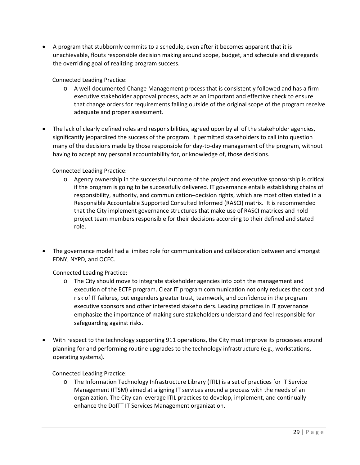• A program that stubbornly commits to a schedule, even after it becomes apparent that it is unachievable, flouts responsible decision making around scope, budget, and schedule and disregards the overriding goal of realizing program success.

Connected Leading Practice:

- o A well-documented Change Management process that is consistently followed and has a firm executive stakeholder approval process, acts as an important and effective check to ensure that change orders for requirements falling outside of the original scope of the program receive adequate and proper assessment.
- The lack of clearly defined roles and responsibilities, agreed upon by all of the stakeholder agencies, significantly jeopardized the success of the program. It permitted stakeholders to call into question many of the decisions made by those responsible for day-to-day management of the program, without having to accept any personal accountability for, or knowledge of, those decisions.

### Connected Leading Practice:

- o Agency ownership in the successful outcome of the project and executive sponsorship is critical if the program is going to be successfully delivered. IT governance entails establishing chains of responsibility, authority, and communication–decision rights, which are most often stated in a Responsible Accountable Supported Consulted Informed (RASCI) matrix. It is recommended that the City implement governance structures that make use of RASCI matrices and hold project team members responsible for their decisions according to their defined and stated role.
- The governance model had a limited role for communication and collaboration between and amongst FDNY, NYPD, and OCEC.

Connected Leading Practice:

- o The City should move to integrate stakeholder agencies into both the management and execution of the ECTP program. Clear IT program communication not only reduces the cost and risk of IT failures, but engenders greater trust, teamwork, and confidence in the program executive sponsors and other interested stakeholders. Leading practices in IT governance emphasize the importance of making sure stakeholders understand and feel responsible for safeguarding against risks.
- With respect to the technology supporting 911 operations, the City must improve its processes around planning for and performing routine upgrades to the technology infrastructure (e.g., workstations, operating systems).

Connected Leading Practice:

o The Information Technology Infrastructure Library (ITIL) is a set of practices for IT Service Management (ITSM) aimed at aligning IT services around a process with the needs of an organization. The City can leverage ITIL practices to develop, implement, and continually enhance the DoITT IT Services Management organization.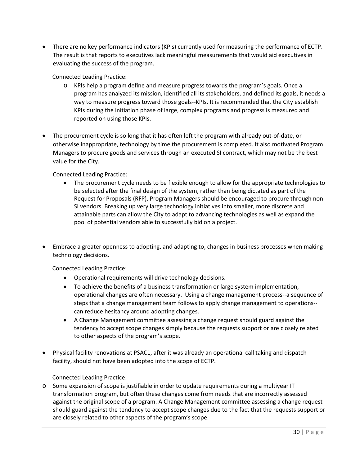• There are no key performance indicators (KPIs) currently used for measuring the performance of ECTP. The result is that reports to executives lack meaningful measurements that would aid executives in evaluating the success of the program.

Connected Leading Practice:

- o KPIs help a program define and measure progress towards the program's goals. Once a program has analyzed its mission, identified all its stakeholders, and defined its goals, it needs a way to measure progress toward those goals--KPIs. It is recommended that the City establish KPIs during the initiation phase of large, complex programs and progress is measured and reported on using those KPIs.
- The procurement cycle is so long that it has often left the program with already out-of-date, or otherwise inappropriate, technology by time the procurement is completed. It also motivated Program Managers to procure goods and services through an executed SI contract, which may not be the best value for the City.

Connected Leading Practice:

- The procurement cycle needs to be flexible enough to allow for the appropriate technologies to be selected after the final design of the system, rather than being dictated as part of the Request for Proposals (RFP). Program Managers should be encouraged to procure through non-SI vendors. Breaking up very large technology initiatives into smaller, more discrete and attainable parts can allow the City to adapt to advancing technologies as well as expand the pool of potential vendors able to successfully bid on a project.
- Embrace a greater openness to adopting, and adapting to, changes in business processes when making technology decisions.

Connected Leading Practice:

- Operational requirements will drive technology decisions.
- To achieve the benefits of a business transformation or large system implementation, operational changes are often necessary. Using a change management process--a sequence of steps that a change management team follows to apply change management to operations- can reduce hesitancy around adopting changes.
- A Change Management committee assessing a change request should guard against the tendency to accept scope changes simply because the requests support or are closely related to other aspects of the program's scope.
- Physical facility renovations at PSAC1, after it was already an operational call taking and dispatch facility, should not have been adopted into the scope of ECTP.

Connected Leading Practice:

o Some expansion of scope is justifiable in order to update requirements during a multiyear IT transformation program, but often these changes come from needs that are incorrectly assessed against the original scope of a program. A Change Management committee assessing a change request should guard against the tendency to accept scope changes due to the fact that the requests support or are closely related to other aspects of the program's scope.